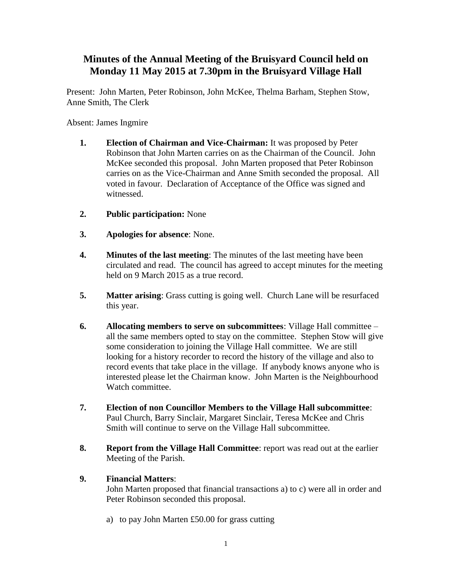## **Minutes of the Annual Meeting of the Bruisyard Council held on Monday 11 May 2015 at 7.30pm in the Bruisyard Village Hall**

Present: John Marten, Peter Robinson, John McKee, Thelma Barham, Stephen Stow, Anne Smith, The Clerk

Absent: James Ingmire

- **1. Election of Chairman and Vice-Chairman:** It was proposed by Peter Robinson that John Marten carries on as the Chairman of the Council. John McKee seconded this proposal. John Marten proposed that Peter Robinson carries on as the Vice-Chairman and Anne Smith seconded the proposal. All voted in favour. Declaration of Acceptance of the Office was signed and witnessed.
- **2. Public participation:** None
- **3. Apologies for absence**: None.
- **4. Minutes of the last meeting**: The minutes of the last meeting have been circulated and read. The council has agreed to accept minutes for the meeting held on 9 March 2015 as a true record.
- **5. Matter arising**: Grass cutting is going well. Church Lane will be resurfaced this year.
- **6. Allocating members to serve on subcommittees**: Village Hall committee all the same members opted to stay on the committee. Stephen Stow will give some consideration to joining the Village Hall committee. We are still looking for a history recorder to record the history of the village and also to record events that take place in the village. If anybody knows anyone who is interested please let the Chairman know. John Marten is the Neighbourhood Watch committee.
- **7. Election of non Councillor Members to the Village Hall subcommittee**: Paul Church, Barry Sinclair, Margaret Sinclair, Teresa McKee and Chris Smith will continue to serve on the Village Hall subcommittee.
- **8. Report from the Village Hall Committee**: report was read out at the earlier Meeting of the Parish.

## **9. Financial Matters**:

John Marten proposed that financial transactions a) to c) were all in order and Peter Robinson seconded this proposal.

a) to pay John Marten £50.00 for grass cutting